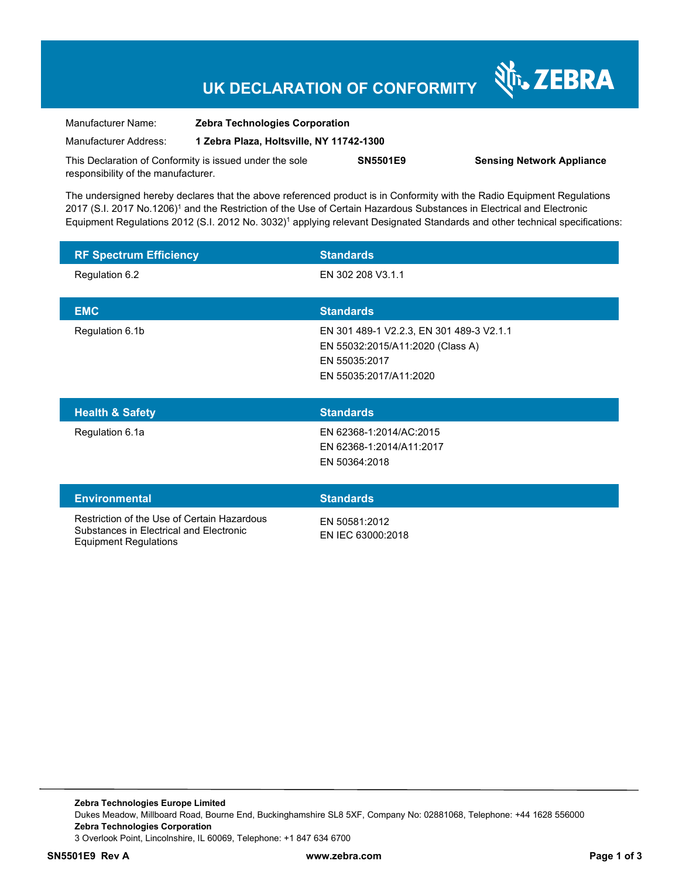# **UK DECLARATION OF CONFORMITY**

Nr. ZEBRA

| Manufacturer Name:                                      | <b>Zebra Technologies Corporation</b>    |                 |                                  |  |
|---------------------------------------------------------|------------------------------------------|-----------------|----------------------------------|--|
| Manufacturer Address:                                   | 1 Zebra Plaza, Holtsville, NY 11742-1300 |                 |                                  |  |
| This Declaration of Conformity is issued under the sole |                                          | <b>SN5501E9</b> | <b>Sensing Network Appliance</b> |  |
| responsibility of the manufacturer.                     |                                          |                 |                                  |  |

The undersigned hereby declares that the above referenced product is in Conformity with the Radio Equipment Regulations 2017 (S.I. 2017 No.1206)<sup>1</sup> and the Restriction of the Use of Certain Hazardous Substances in Electrical and Electronic Equipment Regulations 2012 (S.I. 2012 No. 3032)<sup>1</sup> applying relevant Designated Standards and other technical specifications:

| <b>RF Spectrum Efficiency</b> | <b>Standards</b>                                                                                                        |
|-------------------------------|-------------------------------------------------------------------------------------------------------------------------|
| Regulation 6.2                | EN 302 208 V3.1.1                                                                                                       |
| <b>EMC</b>                    | <b>Standards</b>                                                                                                        |
| Regulation 6.1b               | EN 301 489-1 V2.2.3, EN 301 489-3 V2.1.1<br>EN 55032:2015/A11:2020 (Class A)<br>EN 55035:2017<br>EN 55035:2017/A11:2020 |
| <b>Health &amp; Safety</b>    | <b>Standards</b>                                                                                                        |
| Regulation 6.1a               | EN 62368-1:2014/AC:2015<br>EN 62368-1:2014/A11:2017                                                                     |
|                               | EN 50364:2018                                                                                                           |
| <b>Environmental</b>          | <b>Standards</b>                                                                                                        |

**Zebra Technologies Europe Limited**  Dukes Meadow, Millboard Road, Bourne End, Buckinghamshire SL8 5XF, Company No: 02881068, Telephone: +44 1628 556000 **Zebra Technologies Corporation**  3 Overlook Point, Lincolnshire, IL 60069, Telephone: +1 847 634 6700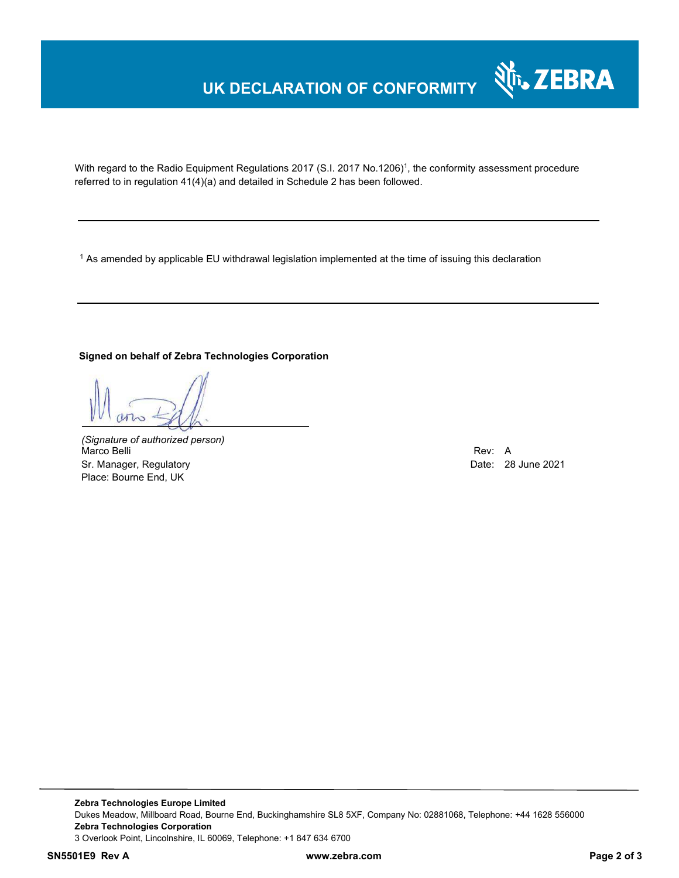### **UK DECLARATION OF CONFORMITY**



With regard to the Radio Equipment Regulations 2017 (S.I. 2017 No.1206)<sup>1</sup>, the conformity assessment procedure referred to in regulation 41(4)(a) and detailed in Schedule 2 has been followed.

 $^{\rm 1}$  As amended by applicable EU withdrawal legislation implemented at the time of issuing this declaration

### **Signed on behalf of Zebra Technologies Corporation**

*(Signature of authorized person)* Marco Belli Rev: A Sr. Manager, Regulatory **Date: 28 June 2021** Place: Bourne End, UK

**Zebra Technologies Europe Limited**  Dukes Meadow, Millboard Road, Bourne End, Buckinghamshire SL8 5XF, Company No: 02881068, Telephone: +44 1628 556000 **Zebra Technologies Corporation**  3 Overlook Point, Lincolnshire, IL 60069, Telephone: +1 847 634 6700